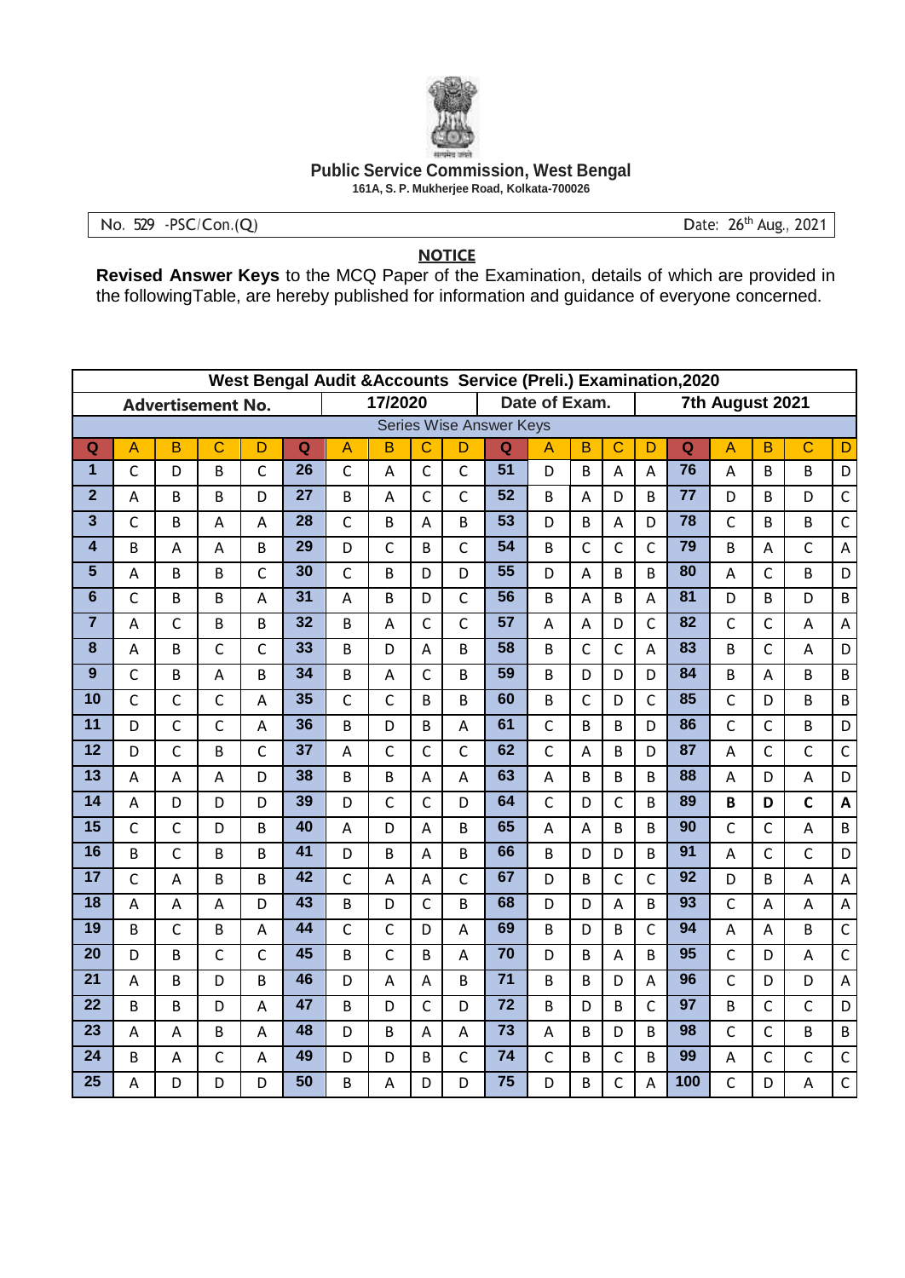

## **Public Service Commission, West Bengal**

161A, S. P. Mukherjee Road, Kolkata-700026

No. 529 - PSC/Con.(Q)

Date: 26<sup>th</sup> Aug., 2021

## **NOTICE**

Revised Answer Keys to the MCQ Paper of the Examination, details of which are provided in the following Table, are hereby published for information and guidance of everyone concerned.

|                         | West Bengal Audit & Accounts Service (Preli.) Examination, 2020 |                          |                |                |                 |                |                |                |                |                                |                |              |                         |                 |                            |                |              |                       |                           |  |
|-------------------------|-----------------------------------------------------------------|--------------------------|----------------|----------------|-----------------|----------------|----------------|----------------|----------------|--------------------------------|----------------|--------------|-------------------------|-----------------|----------------------------|----------------|--------------|-----------------------|---------------------------|--|
|                         |                                                                 | <b>Advertisement No.</b> |                |                |                 |                | 17/2020        |                |                | Date of Exam.                  |                |              |                         | 7th August 2021 |                            |                |              |                       |                           |  |
|                         |                                                                 |                          |                |                |                 |                |                |                |                | <b>Series Wise Answer Keys</b> |                |              |                         |                 |                            |                |              |                       |                           |  |
| Q                       | $\overline{A}$                                                  | B                        | $\mathbf C$    | D              | $\overline{Q}$  | $\overline{A}$ | B              | $\mathbf C$    | D              | Q                              | A              | B            | $\overline{\mathrm{c}}$ | D               | $\mathbf Q$                | $\overline{A}$ | B            | $\overline{\text{c}}$ | D                         |  |
| $\overline{1}$          | $\overline{C}$                                                  | D                        | B              | $\overline{C}$ | $\overline{26}$ | $\mathsf{C}$   | A              | $\mathsf{C}$   | $\mathsf{C}$   | $\overline{51}$                | D              | B            | A                       | A               | $\overline{76}$            | A              | B            | B                     | D                         |  |
| $\overline{2}$          | A                                                               | B                        | B              | D              | 27              | B              | A              | $\mathsf{C}$   | $\mathsf{C}$   | 52                             | B              | A            | D                       | B               | 77                         | D              | B            | D                     | $\mathsf{C}$              |  |
| 3                       | $\mathsf{C}$                                                    | B                        | Α              | A              | 28              | $\mathsf{C}$   | B              | A              | B              | $\overline{53}$                | D              | B            | A                       | D               | 78                         | $\mathsf{C}$   | B            | B                     | $\mathsf C$               |  |
| $\overline{\mathbf{4}}$ | B                                                               | A                        | A              | B              | $\overline{29}$ | D              | $\mathsf{C}$   | B              | $\mathsf{C}$   | $\overline{54}$                | B              | $\mathsf{C}$ | $\mathsf{C}$            | $\mathsf{C}$    | $\overline{79}$            | B              | A            | $\mathsf{C}$          | $\overline{A}$            |  |
| 5                       | A                                                               | B                        | B              | $\mathsf{C}$   | 30              | $\mathsf C$    | B              | D              | D              | $\overline{55}$                | D              | A            | B                       | B               | 80                         | A              | $\mathsf{C}$ | B                     | D                         |  |
| $6\phantom{1}$          | $\mathsf{C}$                                                    | B                        | B              | A              | 31              | A              | B              | D              | $\overline{C}$ | $\overline{56}$                | B              | A            | B                       | A               | 81                         | D              | B            | D                     | B                         |  |
| $\overline{7}$          | A                                                               | $\mathsf{C}$             | B              | B              | 32              | B              | A              | $\mathsf{C}$   | $\mathsf{C}$   | 57                             | A              | A            | D                       | $\mathsf{C}$    | 82                         | $\mathsf{C}$   | $\mathsf{C}$ | A                     | $\overline{A}$            |  |
| 8                       | A                                                               | B                        | $\mathsf{C}$   | $\mathsf{C}$   | 33              | B              | D              | A              | B              | 58                             | <sub>R</sub>   | $\mathsf{C}$ | $\mathsf{C}$            | A               | 83                         | B              | $\mathsf{C}$ | A                     | D                         |  |
| 9                       | $\mathsf{C}$                                                    | B                        | A              | B              | 34              | B              | $\overline{A}$ | $\mathsf{C}$   | B              | 59                             | B              | D            | D                       | D               | 84                         | B              | A            | B                     | $\sf B$                   |  |
| 10                      | $\mathsf{C}$                                                    | $\mathsf{C}$             | $\mathsf{C}$   | A              | 35              | $\mathsf{C}$   | $\mathsf{C}$   | B              | B              | 60                             | B              | $\mathsf{C}$ | D                       | $\mathsf{C}$    | 85                         | $\mathsf{C}$   | D            | B                     | $\sf B$                   |  |
| $\overline{11}$         | D                                                               | $\mathsf{C}$             | $\mathsf{C}$   | A              | 36              | B              | D              | B              | A              | 61                             | $\mathsf{C}$   | B            | B                       | D               | 86                         | $\mathsf{C}$   | $\mathsf{C}$ | B                     | D                         |  |
| $\overline{12}$         | D                                                               | $\mathsf{C}$             | B              | $\mathsf{C}$   | $\overline{37}$ | A              | $\mathsf{C}$   | $\mathsf{C}$   | $\mathsf{C}$   | 62                             | $\mathsf{C}$   | A            | B                       | D               | $\overline{\overline{87}}$ | A              | $\mathsf{C}$ | $\mathsf{C}$          | $\mathsf C$               |  |
| 13                      | A                                                               | A                        | $\overline{A}$ | D              | 38              | B              | B              | A              | A              | 63                             | A              | B            | B                       | B               | 88                         | A              | D            | A                     | D                         |  |
| 14                      | A                                                               | D                        | D              | D              | 39              | D              | $\mathsf{C}$   | $\mathsf{C}$   | D              | 64                             | $\mathsf{C}$   | D            | $\overline{C}$          | B               | 89                         | B              | D            | $\mathsf{C}$          | $\boldsymbol{\mathsf{A}}$ |  |
| $\overline{15}$         | $\mathsf{C}$                                                    | $\mathsf{C}$             | D              | B              | 40              | A              | D              | A              | B              | 65                             | A              | A            | B                       | B               | 90                         | $\mathsf{C}$   | $\mathsf{C}$ | A                     | $\sf B$                   |  |
| 16                      | B                                                               | $\mathsf{C}$             | B              | B              | $\overline{41}$ | D              | B              | $\overline{A}$ | B              | 66                             | B              | D            | D                       | B               | $\overline{91}$            | $\overline{A}$ | $\mathsf{C}$ | $\mathsf{C}$          | D                         |  |
| 17                      | $\mathsf{C}$                                                    | A                        | B              | B              | 42              | $\mathsf{C}$   | A              | A              | $\mathsf{C}$   | 67                             | D              | B            | $\mathsf{C}$            | $\mathsf{C}$    | 92                         | D              | B            | A                     | $\boldsymbol{\mathsf{A}}$ |  |
| $\overline{18}$         | A                                                               | A                        | A              | D              | $\overline{43}$ | B              | D              | $\mathsf{C}$   | B              | 68                             | D              | D            | A                       | B               | 93                         | $\mathsf{C}$   | A            | A                     | $\overline{A}$            |  |
| 19                      | B                                                               | $\mathsf{C}$             | B              | A              | 44              | $\mathsf{C}$   | $\mathsf{C}$   | D              | A              | 69                             | B              | D            | B                       | $\mathsf{C}$    | 94                         | A              | A            | B                     | $\mathsf C$               |  |
| $\overline{20}$         | D                                                               | B                        | $\mathsf{C}$   | $\mathsf{C}$   | 45              | B              | $\mathsf{C}$   | B              | A              | $\overline{70}$                | D              | B            | A                       | B               | $\overline{95}$            | $\mathsf{C}$   | D            | A                     | $\overline{C}$            |  |
| 21                      | A                                                               | B                        | D              | B              | 46              | D              | A              | A              | B              | $\overline{71}$                | B              | B            | D                       | A               | 96                         | $\mathsf{C}$   | D            | D                     | $\boldsymbol{\mathsf{A}}$ |  |
| $\overline{22}$         | B                                                               | B                        | D              | A              | $\overline{47}$ | B              | D              | $\mathsf{C}$   | D              | 72                             | B              | D            | B                       | $\mathsf{C}$    | 97                         | B              | $\mathsf{C}$ | $\mathsf{C}$          | D                         |  |
| $\overline{23}$         | A                                                               | A                        | B              | A              | 48              | D              | B              | $\overline{A}$ | A              | $\overline{73}$                | $\overline{A}$ | B            | D                       | B               | 98                         | $\mathsf{C}$   | $\mathsf{C}$ | B                     | $\sf B$                   |  |
| 24                      | B                                                               | A                        | $\mathsf{C}$   | A              | 49              | D              | D              | B              | $\mathsf{C}$   | 74                             | $\mathsf{C}$   | B            | $\mathsf{C}$            | B               | 99                         | A              | $\mathsf C$  | $\mathsf{C}$          | $\mathsf C$               |  |
| $\overline{25}$         | A                                                               | D                        | D              | D              | $\overline{50}$ | B              | A              | D              | D              | $\overline{75}$                | D              | B            | $\mathsf{C}$            | A               | 100                        | $\mathsf{C}$   | D            | A                     | $\mathsf C$               |  |